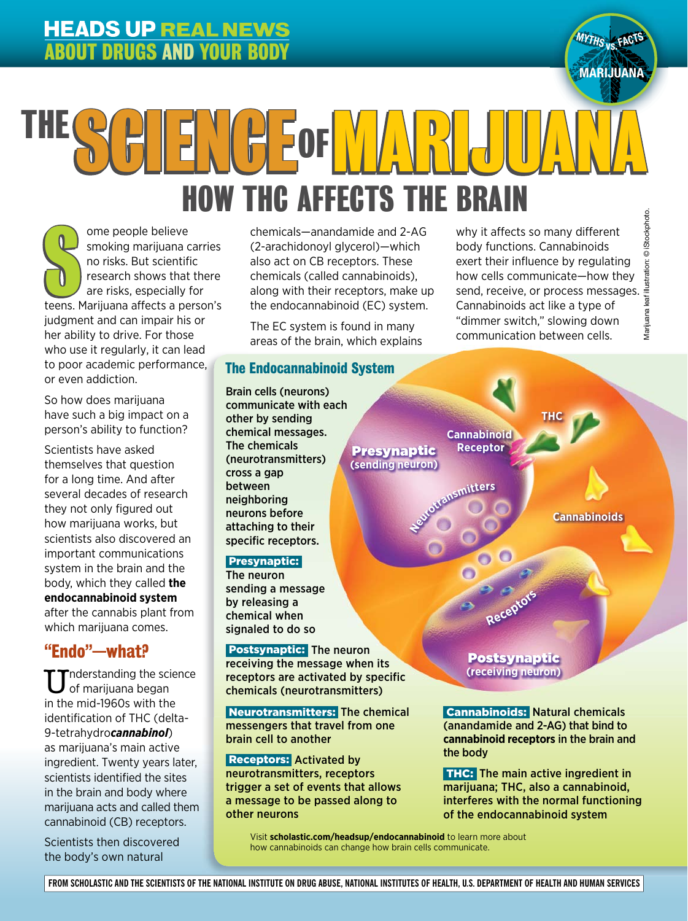## **HEADS UP REAL NEWS** ABOUT DRUGS AND YOUR BODY



# $\overline{a}$ Marijuana leaf illustration: © iStockphoto. HOW THC AFFECTS THE BRAIN  $\left[\begin{smallmatrix} 1 & 1 \\ 1 & 1 \end{smallmatrix}\right]$  for  $\left[\begin{smallmatrix} 1 & 1 \\ 1 & 1 \end{smallmatrix}\right]$

 $\overline{\phantom{a}}$ Ome people believe<br>
smoking marijuana carries<br>
no risks. But scientific<br>
research shows that there<br>
are risks, especially for<br>
teens. Marijuana affects a person's ome people believe smoking marijuana carries no risks. But scientific research shows that there are risks, especially for judgment and can impair his or her ability to drive. For those who use it regularly, it can lead to poor academic performance, or even addiction.

So how does marijuana have such a big impact on a person's ability to function?

Scientists have asked themselves that question for a long time. And after several decades of research they not only figured out how marijuana works, but scientists also discovered an important communications system in the brain and the body, which they called **the endocannabinoid system** after the cannabis plant from which marijuana comes.

## "Endo"—what?

 $\blacksquare$ nderstanding the science of marijuana began in the mid-1960s with the identification of THC (delta-9-tetrahydro*cannabinol*) as marijuana's main active ingredient. Twenty years later, scientists identified the sites in the brain and body where marijuana acts and called them cannabinoid (CB) receptors.

Scientists then discovered the body's own natural

chemicals—anandamide and 2-AG (2-arachidonoyl glycerol)—which also act on CB receptors. These chemicals (called cannabinoids), along with their receptors, make up the endocannabinoid (EC) system.

The EC system is found in many areas of the brain, which explains

> Presynaptic **(sending neuron)**

#### The Endocannabinoid System

Brain cells (neurons) communicate with each other by sending chemical messages. The chemicals (neurotransmitters) cross a gap between neighboring neurons before attaching to their specific receptors.

#### Presynaptic:

The neuron sending a message by releasing a chemical when signaled to do so

 Postsynaptic: The neuron receiving the message when its receptors are activated by specific chemicals (neurotransmitters)

 Neurotransmitters: The chemical messengers that travel from one brain cell to another

 Receptors: Activated by neurotransmitters, receptors trigger a set of events that allows a message to be passed along to other neurons

why it affects so many different body functions. Cannabinoids exert their influence by regulating how cells communicate—how they send, receive, or process messages. Cannabinoids act like a type of "dimmer switch," slowing down communication between cells.

**THC**

**Cannabinoids**

Postsynaptic **(receiving neuron)**

**Receptor<sup>s</sup>**

**Cannabinoid Receptor**

**Neurotransmitter<sup>s</sup>**

 Cannabinoids: Natural chemicals (anandamide and 2-AG) that bind to **cannabinoid receptors** in the brain and the body

 THC: The main active ingredient in marijuana; THC, also a cannabinoid, interferes with the normal functioning of the endocannabinoid system

Visit **scholastic.com/headsup/endocannabinoid** to learn more about how cannabinoids can change how brain cells communicate.